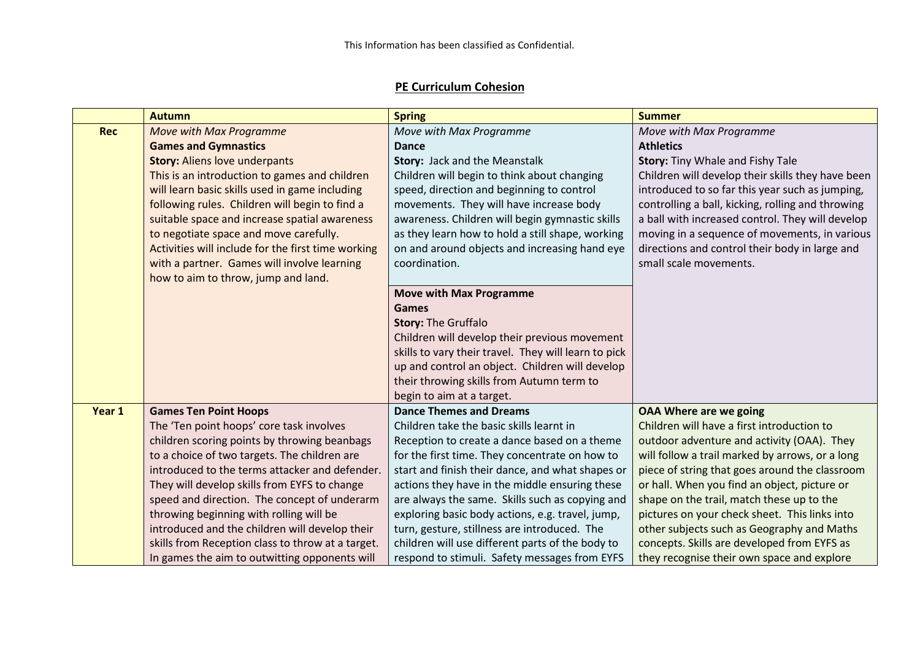## **PE Curriculum Cohesion**

|            | <b>Autumn</b>                                      | <b>Spring</b>                                        | <b>Summer</b>                                     |
|------------|----------------------------------------------------|------------------------------------------------------|---------------------------------------------------|
| <b>Rec</b> | <b>Move with Max Programme</b>                     | Move with Max Programme                              | Move with Max Programme                           |
|            | <b>Games and Gymnastics</b>                        | <b>Dance</b>                                         | <b>Athletics</b>                                  |
|            | <b>Story: Aliens love underpants</b>               | Story: Jack and the Meanstalk                        | Story: Tiny Whale and Fishy Tale                  |
|            | This is an introduction to games and children      | Children will begin to think about changing          | Children will develop their skills they have been |
|            | will learn basic skills used in game including     | speed, direction and beginning to control            | introduced to so far this year such as jumping,   |
|            | following rules. Children will begin to find a     | movements. They will have increase body              | controlling a ball, kicking, rolling and throwing |
|            | suitable space and increase spatial awareness      | awareness. Children will begin gymnastic skills      | a ball with increased control. They will develop  |
|            | to negotiate space and move carefully.             | as they learn how to hold a still shape, working     | moving in a sequence of movements, in various     |
|            | Activities will include for the first time working | on and around objects and increasing hand eye        | directions and control their body in large and    |
|            | with a partner. Games will involve learning        | coordination.                                        | small scale movements.                            |
|            | how to aim to throw, jump and land.                |                                                      |                                                   |
|            |                                                    | <b>Move with Max Programme</b>                       |                                                   |
|            |                                                    | <b>Games</b>                                         |                                                   |
|            |                                                    | <b>Story: The Gruffalo</b>                           |                                                   |
|            |                                                    | Children will develop their previous movement        |                                                   |
|            |                                                    | skills to vary their travel. They will learn to pick |                                                   |
|            |                                                    | up and control an object. Children will develop      |                                                   |
|            |                                                    | their throwing skills from Autumn term to            |                                                   |
|            |                                                    | begin to aim at a target.                            |                                                   |
| Year 1     | <b>Games Ten Point Hoops</b>                       | <b>Dance Themes and Dreams</b>                       | <b>OAA Where are we going</b>                     |
|            | The 'Ten point hoops' core task involves           | Children take the basic skills learnt in             | Children will have a first introduction to        |
|            | children scoring points by throwing beanbags       | Reception to create a dance based on a theme         | outdoor adventure and activity (OAA). They        |
|            | to a choice of two targets. The children are       | for the first time. They concentrate on how to       | will follow a trail marked by arrows, or a long   |
|            | introduced to the terms attacker and defender.     | start and finish their dance, and what shapes or     | piece of string that goes around the classroom    |
|            | They will develop skills from EYFS to change       | actions they have in the middle ensuring these       | or hall. When you find an object, picture or      |
|            | speed and direction. The concept of underarm       | are always the same. Skills such as copying and      | shape on the trail, match these up to the         |
|            | throwing beginning with rolling will be            | exploring basic body actions, e.g. travel, jump,     | pictures on your check sheet. This links into     |
|            | introduced and the children will develop their     | turn, gesture, stillness are introduced. The         | other subjects such as Geography and Maths        |
|            | skills from Reception class to throw at a target.  | children will use different parts of the body to     | concepts. Skills are developed from EYFS as       |
|            | In games the aim to outwitting opponents will      | respond to stimuli. Safety messages from EYFS        | they recognise their own space and explore        |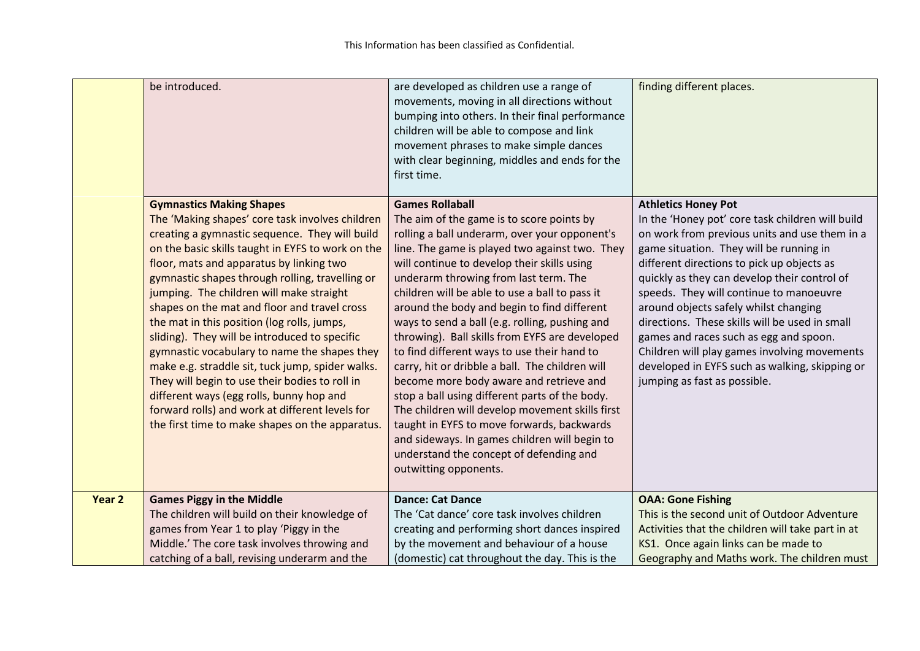|        | be introduced.                                                                                                                                                                                                                                                                                                                                                                                                                                                                                                                                                                                                                                                                                                                                                                               | are developed as children use a range of<br>movements, moving in all directions without<br>bumping into others. In their final performance<br>children will be able to compose and link<br>movement phrases to make simple dances<br>with clear beginning, middles and ends for the<br>first time.                                                                                                                                                                                                                                                                                                                                                                                                                                                                                                                                                                                       | finding different places.                                                                                                                                                                                                                                                                                                                                                                                                                                                                                                                                                                  |
|--------|----------------------------------------------------------------------------------------------------------------------------------------------------------------------------------------------------------------------------------------------------------------------------------------------------------------------------------------------------------------------------------------------------------------------------------------------------------------------------------------------------------------------------------------------------------------------------------------------------------------------------------------------------------------------------------------------------------------------------------------------------------------------------------------------|------------------------------------------------------------------------------------------------------------------------------------------------------------------------------------------------------------------------------------------------------------------------------------------------------------------------------------------------------------------------------------------------------------------------------------------------------------------------------------------------------------------------------------------------------------------------------------------------------------------------------------------------------------------------------------------------------------------------------------------------------------------------------------------------------------------------------------------------------------------------------------------|--------------------------------------------------------------------------------------------------------------------------------------------------------------------------------------------------------------------------------------------------------------------------------------------------------------------------------------------------------------------------------------------------------------------------------------------------------------------------------------------------------------------------------------------------------------------------------------------|
|        | <b>Gymnastics Making Shapes</b><br>The 'Making shapes' core task involves children<br>creating a gymnastic sequence. They will build<br>on the basic skills taught in EYFS to work on the<br>floor, mats and apparatus by linking two<br>gymnastic shapes through rolling, travelling or<br>jumping. The children will make straight<br>shapes on the mat and floor and travel cross<br>the mat in this position (log rolls, jumps,<br>sliding). They will be introduced to specific<br>gymnastic vocabulary to name the shapes they<br>make e.g. straddle sit, tuck jump, spider walks.<br>They will begin to use their bodies to roll in<br>different ways (egg rolls, bunny hop and<br>forward rolls) and work at different levels for<br>the first time to make shapes on the apparatus. | <b>Games Rollaball</b><br>The aim of the game is to score points by<br>rolling a ball underarm, over your opponent's<br>line. The game is played two against two. They<br>will continue to develop their skills using<br>underarm throwing from last term. The<br>children will be able to use a ball to pass it<br>around the body and begin to find different<br>ways to send a ball (e.g. rolling, pushing and<br>throwing). Ball skills from EYFS are developed<br>to find different ways to use their hand to<br>carry, hit or dribble a ball. The children will<br>become more body aware and retrieve and<br>stop a ball using different parts of the body.<br>The children will develop movement skills first<br>taught in EYFS to move forwards, backwards<br>and sideways. In games children will begin to<br>understand the concept of defending and<br>outwitting opponents. | <b>Athletics Honey Pot</b><br>In the 'Honey pot' core task children will build<br>on work from previous units and use them in a<br>game situation. They will be running in<br>different directions to pick up objects as<br>quickly as they can develop their control of<br>speeds. They will continue to manoeuvre<br>around objects safely whilst changing<br>directions. These skills will be used in small<br>games and races such as egg and spoon.<br>Children will play games involving movements<br>developed in EYFS such as walking, skipping or<br>jumping as fast as possible. |
| Year 2 | <b>Games Piggy in the Middle</b><br>The children will build on their knowledge of<br>games from Year 1 to play 'Piggy in the<br>Middle.' The core task involves throwing and<br>catching of a ball, revising underarm and the                                                                                                                                                                                                                                                                                                                                                                                                                                                                                                                                                                | <b>Dance: Cat Dance</b><br>The 'Cat dance' core task involves children<br>creating and performing short dances inspired<br>by the movement and behaviour of a house<br>(domestic) cat throughout the day. This is the                                                                                                                                                                                                                                                                                                                                                                                                                                                                                                                                                                                                                                                                    | <b>OAA: Gone Fishing</b><br>This is the second unit of Outdoor Adventure<br>Activities that the children will take part in at<br>KS1. Once again links can be made to<br>Geography and Maths work. The children must                                                                                                                                                                                                                                                                                                                                                                       |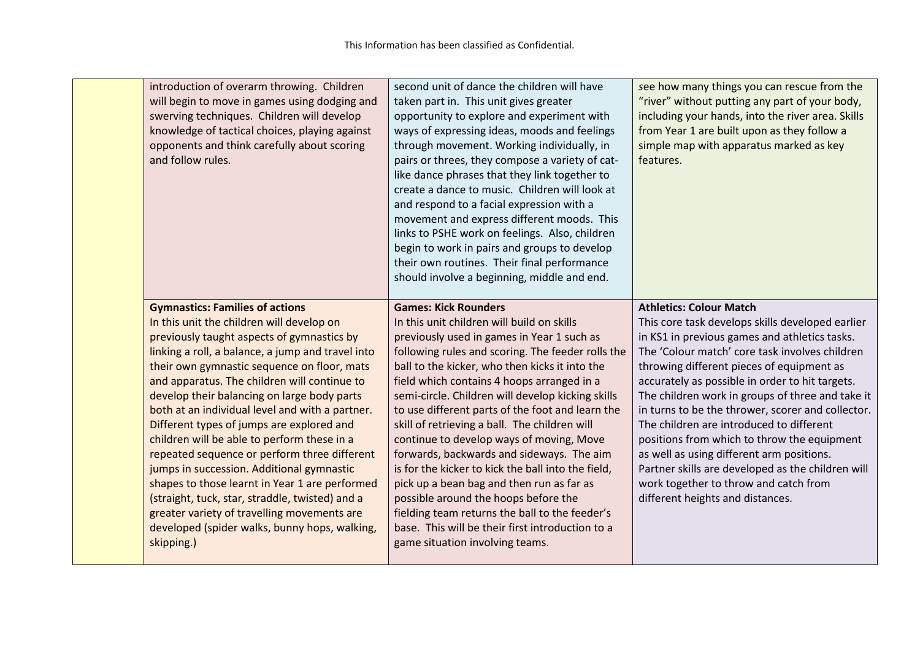| introduction of overarm throwing. Children<br>will begin to move in games using dodging and<br>swerving techniques. Children will develop<br>knowledge of tactical choices, playing against<br>opponents and think carefully about scoring<br>and follow rules.                                                                                                                                                                                                                                                                                                                                                                                                                                                                                                                                     | second unit of dance the children will have<br>taken part in. This unit gives greater<br>opportunity to explore and experiment with<br>ways of expressing ideas, moods and feelings<br>through movement. Working individually, in<br>pairs or threes, they compose a variety of cat-<br>like dance phrases that they link together to<br>create a dance to music. Children will look at<br>and respond to a facial expression with a<br>movement and express different moods. This<br>links to PSHE work on feelings. Also, children<br>begin to work in pairs and groups to develop<br>their own routines. Their final performance<br>should involve a beginning, middle and end.                                                                                                                                  | see how many things you can rescue from the<br>"river" without putting any part of your body,<br>including your hands, into the river area. Skills<br>from Year 1 are built upon as they follow a<br>simple map with apparatus marked as key<br>features.                                                                                                                                                                                                                                                                                                                                                                                                                |
|-----------------------------------------------------------------------------------------------------------------------------------------------------------------------------------------------------------------------------------------------------------------------------------------------------------------------------------------------------------------------------------------------------------------------------------------------------------------------------------------------------------------------------------------------------------------------------------------------------------------------------------------------------------------------------------------------------------------------------------------------------------------------------------------------------|---------------------------------------------------------------------------------------------------------------------------------------------------------------------------------------------------------------------------------------------------------------------------------------------------------------------------------------------------------------------------------------------------------------------------------------------------------------------------------------------------------------------------------------------------------------------------------------------------------------------------------------------------------------------------------------------------------------------------------------------------------------------------------------------------------------------|--------------------------------------------------------------------------------------------------------------------------------------------------------------------------------------------------------------------------------------------------------------------------------------------------------------------------------------------------------------------------------------------------------------------------------------------------------------------------------------------------------------------------------------------------------------------------------------------------------------------------------------------------------------------------|
| <b>Gymnastics: Families of actions</b><br>In this unit the children will develop on<br>previously taught aspects of gymnastics by<br>linking a roll, a balance, a jump and travel into<br>their own gymnastic sequence on floor, mats<br>and apparatus. The children will continue to<br>develop their balancing on large body parts<br>both at an individual level and with a partner.<br>Different types of jumps are explored and<br>children will be able to perform these in a<br>repeated sequence or perform three different<br>jumps in succession. Additional gymnastic<br>shapes to those learnt in Year 1 are performed<br>(straight, tuck, star, straddle, twisted) and a<br>greater variety of travelling movements are<br>developed (spider walks, bunny hops, walking,<br>skipping.) | <b>Games: Kick Rounders</b><br>In this unit children will build on skills<br>previously used in games in Year 1 such as<br>following rules and scoring. The feeder rolls the<br>ball to the kicker, who then kicks it into the<br>field which contains 4 hoops arranged in a<br>semi-circle. Children will develop kicking skills<br>to use different parts of the foot and learn the<br>skill of retrieving a ball. The children will<br>continue to develop ways of moving, Move<br>forwards, backwards and sideways. The aim<br>is for the kicker to kick the ball into the field,<br>pick up a bean bag and then run as far as<br>possible around the hoops before the<br>fielding team returns the ball to the feeder's<br>base. This will be their first introduction to a<br>game situation involving teams. | <b>Athletics: Colour Match</b><br>This core task develops skills developed earlier<br>in KS1 in previous games and athletics tasks.<br>The 'Colour match' core task involves children<br>throwing different pieces of equipment as<br>accurately as possible in order to hit targets.<br>The children work in groups of three and take it<br>in turns to be the thrower, scorer and collector.<br>The children are introduced to different<br>positions from which to throw the equipment<br>as well as using different arm positions.<br>Partner skills are developed as the children will<br>work together to throw and catch from<br>different heights and distances. |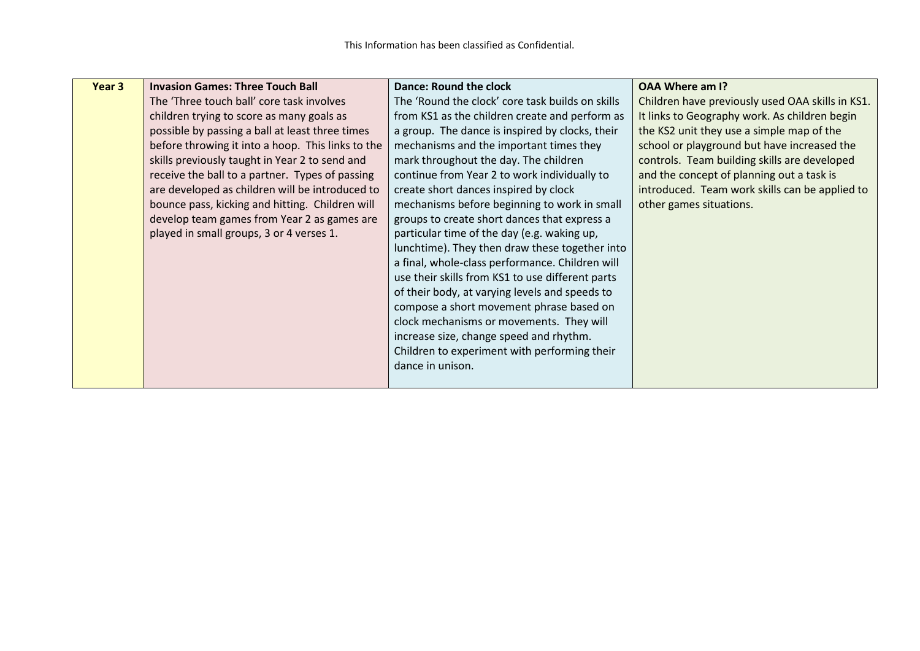| Year 3 | <b>Invasion Games: Three Touch Ball</b>           | <b>Dance: Round the clock</b>                    | <b>OAA Where am I?</b>                           |
|--------|---------------------------------------------------|--------------------------------------------------|--------------------------------------------------|
|        | The 'Three touch ball' core task involves         | The 'Round the clock' core task builds on skills | Children have previously used OAA skills in KS1. |
|        | children trying to score as many goals as         | from KS1 as the children create and perform as   | It links to Geography work. As children begin    |
|        | possible by passing a ball at least three times   | a group. The dance is inspired by clocks, their  | the KS2 unit they use a simple map of the        |
|        | before throwing it into a hoop. This links to the | mechanisms and the important times they          | school or playground but have increased the      |
|        | skills previously taught in Year 2 to send and    | mark throughout the day. The children            | controls. Team building skills are developed     |
|        | receive the ball to a partner. Types of passing   | continue from Year 2 to work individually to     | and the concept of planning out a task is        |
|        | are developed as children will be introduced to   | create short dances inspired by clock            | introduced. Team work skills can be applied to   |
|        | bounce pass, kicking and hitting. Children will   | mechanisms before beginning to work in small     | other games situations.                          |
|        | develop team games from Year 2 as games are       | groups to create short dances that express a     |                                                  |
|        | played in small groups, 3 or 4 verses 1.          | particular time of the day (e.g. waking up,      |                                                  |
|        |                                                   | lunchtime). They then draw these together into   |                                                  |
|        |                                                   | a final, whole-class performance. Children will  |                                                  |
|        |                                                   | use their skills from KS1 to use different parts |                                                  |
|        |                                                   | of their body, at varying levels and speeds to   |                                                  |
|        |                                                   | compose a short movement phrase based on         |                                                  |
|        |                                                   | clock mechanisms or movements. They will         |                                                  |
|        |                                                   | increase size, change speed and rhythm.          |                                                  |
|        |                                                   | Children to experiment with performing their     |                                                  |
|        |                                                   | dance in unison.                                 |                                                  |
|        |                                                   |                                                  |                                                  |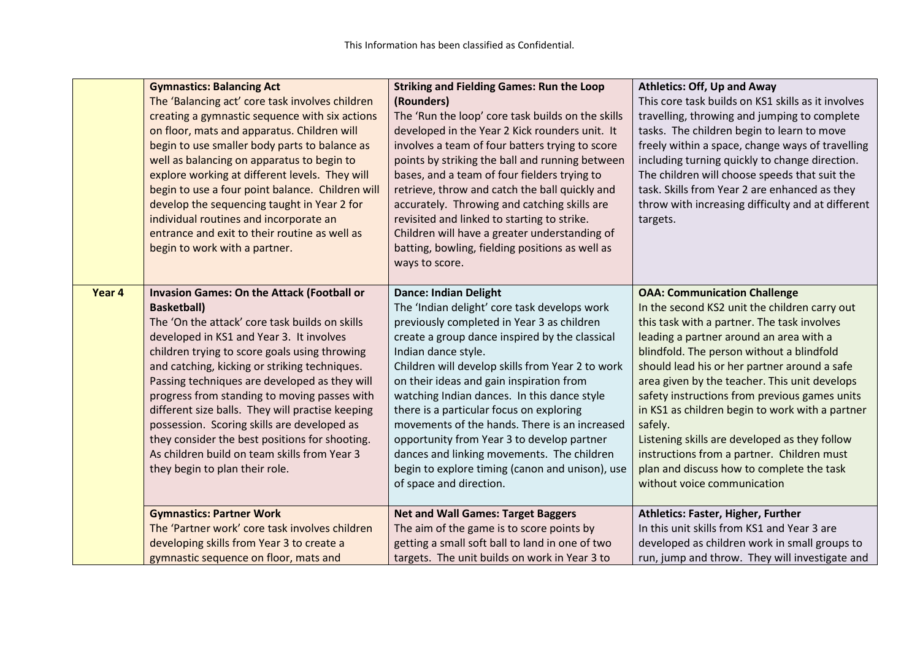|        | <b>Gymnastics: Balancing Act</b><br>The 'Balancing act' core task involves children<br>creating a gymnastic sequence with six actions<br>on floor, mats and apparatus. Children will<br>begin to use smaller body parts to balance as<br>well as balancing on apparatus to begin to<br>explore working at different levels. They will<br>begin to use a four point balance. Children will<br>develop the sequencing taught in Year 2 for<br>individual routines and incorporate an<br>entrance and exit to their routine as well as<br>begin to work with a partner.                                             | <b>Striking and Fielding Games: Run the Loop</b><br>(Rounders)<br>The 'Run the loop' core task builds on the skills<br>developed in the Year 2 Kick rounders unit. It<br>involves a team of four batters trying to score<br>points by striking the ball and running between<br>bases, and a team of four fielders trying to<br>retrieve, throw and catch the ball quickly and<br>accurately. Throwing and catching skills are<br>revisited and linked to starting to strike.<br>Children will have a greater understanding of<br>batting, bowling, fielding positions as well as<br>ways to score.                        | <b>Athletics: Off, Up and Away</b><br>This core task builds on KS1 skills as it involves<br>travelling, throwing and jumping to complete<br>tasks. The children begin to learn to move<br>freely within a space, change ways of travelling<br>including turning quickly to change direction.<br>The children will choose speeds that suit the<br>task. Skills from Year 2 are enhanced as they<br>throw with increasing difficulty and at different<br>targets.                                                                                                                                                        |
|--------|------------------------------------------------------------------------------------------------------------------------------------------------------------------------------------------------------------------------------------------------------------------------------------------------------------------------------------------------------------------------------------------------------------------------------------------------------------------------------------------------------------------------------------------------------------------------------------------------------------------|---------------------------------------------------------------------------------------------------------------------------------------------------------------------------------------------------------------------------------------------------------------------------------------------------------------------------------------------------------------------------------------------------------------------------------------------------------------------------------------------------------------------------------------------------------------------------------------------------------------------------|------------------------------------------------------------------------------------------------------------------------------------------------------------------------------------------------------------------------------------------------------------------------------------------------------------------------------------------------------------------------------------------------------------------------------------------------------------------------------------------------------------------------------------------------------------------------------------------------------------------------|
| Year 4 | <b>Invasion Games: On the Attack (Football or</b><br><b>Basketball</b> )<br>The 'On the attack' core task builds on skills<br>developed in KS1 and Year 3. It involves<br>children trying to score goals using throwing<br>and catching, kicking or striking techniques.<br>Passing techniques are developed as they will<br>progress from standing to moving passes with<br>different size balls. They will practise keeping<br>possession. Scoring skills are developed as<br>they consider the best positions for shooting.<br>As children build on team skills from Year 3<br>they begin to plan their role. | <b>Dance: Indian Delight</b><br>The 'Indian delight' core task develops work<br>previously completed in Year 3 as children<br>create a group dance inspired by the classical<br>Indian dance style.<br>Children will develop skills from Year 2 to work<br>on their ideas and gain inspiration from<br>watching Indian dances. In this dance style<br>there is a particular focus on exploring<br>movements of the hands. There is an increased<br>opportunity from Year 3 to develop partner<br>dances and linking movements. The children<br>begin to explore timing (canon and unison), use<br>of space and direction. | <b>OAA: Communication Challenge</b><br>In the second KS2 unit the children carry out<br>this task with a partner. The task involves<br>leading a partner around an area with a<br>blindfold. The person without a blindfold<br>should lead his or her partner around a safe<br>area given by the teacher. This unit develops<br>safety instructions from previous games units<br>in KS1 as children begin to work with a partner<br>safely.<br>Listening skills are developed as they follow<br>instructions from a partner. Children must<br>plan and discuss how to complete the task<br>without voice communication |
|        | <b>Gymnastics: Partner Work</b><br>The 'Partner work' core task involves children<br>developing skills from Year 3 to create a<br>gymnastic sequence on floor, mats and                                                                                                                                                                                                                                                                                                                                                                                                                                          | <b>Net and Wall Games: Target Baggers</b><br>The aim of the game is to score points by<br>getting a small soft ball to land in one of two<br>targets. The unit builds on work in Year 3 to                                                                                                                                                                                                                                                                                                                                                                                                                                | Athletics: Faster, Higher, Further<br>In this unit skills from KS1 and Year 3 are<br>developed as children work in small groups to<br>run, jump and throw. They will investigate and                                                                                                                                                                                                                                                                                                                                                                                                                                   |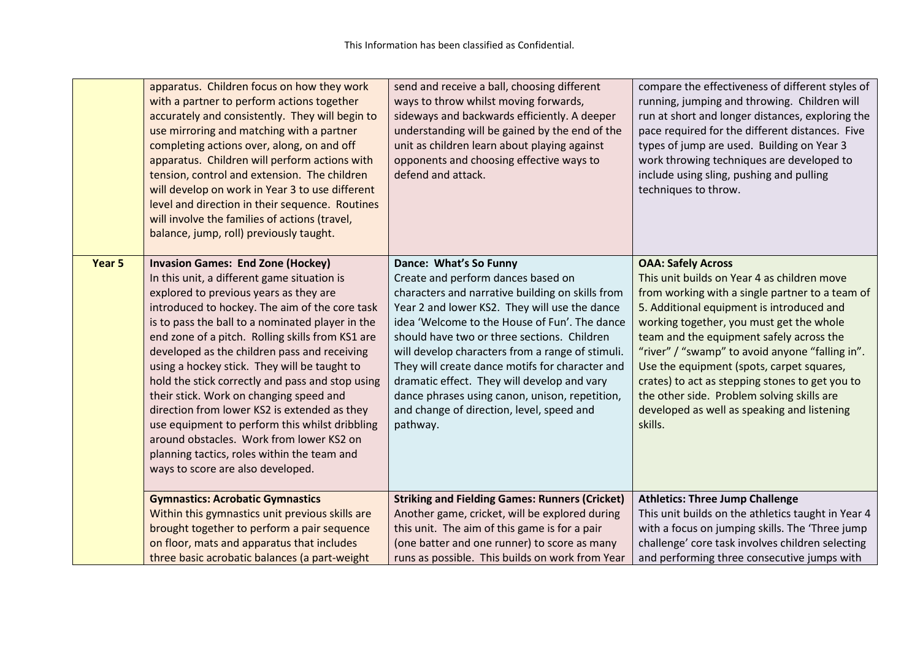|        | apparatus. Children focus on how they work<br>with a partner to perform actions together<br>accurately and consistently. They will begin to<br>use mirroring and matching with a partner<br>completing actions over, along, on and off<br>apparatus. Children will perform actions with<br>tension, control and extension. The children<br>will develop on work in Year 3 to use different<br>level and direction in their sequence. Routines<br>will involve the families of actions (travel,<br>balance, jump, roll) previously taught.                                                                                                                                                                                    | send and receive a ball, choosing different<br>ways to throw whilst moving forwards,<br>sideways and backwards efficiently. A deeper<br>understanding will be gained by the end of the<br>unit as children learn about playing against<br>opponents and choosing effective ways to<br>defend and attack.                                                                                                                                                                                                                           | compare the effectiveness of different styles of<br>running, jumping and throwing. Children will<br>run at short and longer distances, exploring the<br>pace required for the different distances. Five<br>types of jump are used. Building on Year 3<br>work throwing techniques are developed to<br>include using sling, pushing and pulling<br>techniques to throw.                                                                                                                                                      |
|--------|------------------------------------------------------------------------------------------------------------------------------------------------------------------------------------------------------------------------------------------------------------------------------------------------------------------------------------------------------------------------------------------------------------------------------------------------------------------------------------------------------------------------------------------------------------------------------------------------------------------------------------------------------------------------------------------------------------------------------|------------------------------------------------------------------------------------------------------------------------------------------------------------------------------------------------------------------------------------------------------------------------------------------------------------------------------------------------------------------------------------------------------------------------------------------------------------------------------------------------------------------------------------|-----------------------------------------------------------------------------------------------------------------------------------------------------------------------------------------------------------------------------------------------------------------------------------------------------------------------------------------------------------------------------------------------------------------------------------------------------------------------------------------------------------------------------|
| Year 5 | <b>Invasion Games: End Zone (Hockey)</b><br>In this unit, a different game situation is<br>explored to previous years as they are<br>introduced to hockey. The aim of the core task<br>is to pass the ball to a nominated player in the<br>end zone of a pitch. Rolling skills from KS1 are<br>developed as the children pass and receiving<br>using a hockey stick. They will be taught to<br>hold the stick correctly and pass and stop using<br>their stick. Work on changing speed and<br>direction from lower KS2 is extended as they<br>use equipment to perform this whilst dribbling<br>around obstacles. Work from lower KS2 on<br>planning tactics, roles within the team and<br>ways to score are also developed. | Dance: What's So Funny<br>Create and perform dances based on<br>characters and narrative building on skills from<br>Year 2 and lower KS2. They will use the dance<br>idea 'Welcome to the House of Fun'. The dance<br>should have two or three sections. Children<br>will develop characters from a range of stimuli.<br>They will create dance motifs for character and<br>dramatic effect. They will develop and vary<br>dance phrases using canon, unison, repetition,<br>and change of direction, level, speed and<br>pathway. | <b>OAA: Safely Across</b><br>This unit builds on Year 4 as children move<br>from working with a single partner to a team of<br>5. Additional equipment is introduced and<br>working together, you must get the whole<br>team and the equipment safely across the<br>"river" / "swamp" to avoid anyone "falling in".<br>Use the equipment (spots, carpet squares,<br>crates) to act as stepping stones to get you to<br>the other side. Problem solving skills are<br>developed as well as speaking and listening<br>skills. |
|        | <b>Gymnastics: Acrobatic Gymnastics</b><br>Within this gymnastics unit previous skills are<br>brought together to perform a pair sequence<br>on floor, mats and apparatus that includes<br>three basic acrobatic balances (a part-weight                                                                                                                                                                                                                                                                                                                                                                                                                                                                                     | <b>Striking and Fielding Games: Runners (Cricket)</b><br>Another game, cricket, will be explored during<br>this unit. The aim of this game is for a pair<br>(one batter and one runner) to score as many<br>runs as possible. This builds on work from Year                                                                                                                                                                                                                                                                        | <b>Athletics: Three Jump Challenge</b><br>This unit builds on the athletics taught in Year 4<br>with a focus on jumping skills. The 'Three jump<br>challenge' core task involves children selecting<br>and performing three consecutive jumps with                                                                                                                                                                                                                                                                          |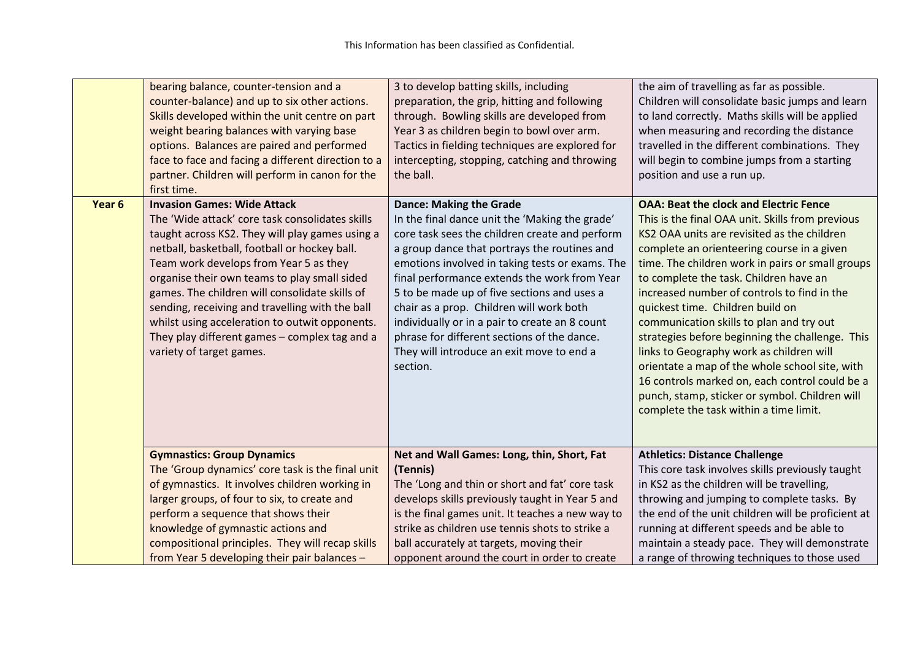|        | bearing balance, counter-tension and a<br>counter-balance) and up to six other actions.<br>Skills developed within the unit centre on part<br>weight bearing balances with varying base<br>options. Balances are paired and performed<br>face to face and facing a different direction to a<br>partner. Children will perform in canon for the<br>first time.                                                                                                                                                           | 3 to develop batting skills, including<br>preparation, the grip, hitting and following<br>through. Bowling skills are developed from<br>Year 3 as children begin to bowl over arm.<br>Tactics in fielding techniques are explored for<br>intercepting, stopping, catching and throwing<br>the ball.                                                                                                                                                                                                                                        | the aim of travelling as far as possible.<br>Children will consolidate basic jumps and learn<br>to land correctly. Maths skills will be applied<br>when measuring and recording the distance<br>travelled in the different combinations. They<br>will begin to combine jumps from a starting<br>position and use a run up.                                                                                                                                                                                                                                                                                                                                                                                                 |
|--------|-------------------------------------------------------------------------------------------------------------------------------------------------------------------------------------------------------------------------------------------------------------------------------------------------------------------------------------------------------------------------------------------------------------------------------------------------------------------------------------------------------------------------|--------------------------------------------------------------------------------------------------------------------------------------------------------------------------------------------------------------------------------------------------------------------------------------------------------------------------------------------------------------------------------------------------------------------------------------------------------------------------------------------------------------------------------------------|----------------------------------------------------------------------------------------------------------------------------------------------------------------------------------------------------------------------------------------------------------------------------------------------------------------------------------------------------------------------------------------------------------------------------------------------------------------------------------------------------------------------------------------------------------------------------------------------------------------------------------------------------------------------------------------------------------------------------|
| Year 6 | <b>Invasion Games: Wide Attack</b><br>The 'Wide attack' core task consolidates skills<br>taught across KS2. They will play games using a<br>netball, basketball, football or hockey ball.<br>Team work develops from Year 5 as they<br>organise their own teams to play small sided<br>games. The children will consolidate skills of<br>sending, receiving and travelling with the ball<br>whilst using acceleration to outwit opponents.<br>They play different games - complex tag and a<br>variety of target games. | <b>Dance: Making the Grade</b><br>In the final dance unit the 'Making the grade'<br>core task sees the children create and perform<br>a group dance that portrays the routines and<br>emotions involved in taking tests or exams. The<br>final performance extends the work from Year<br>5 to be made up of five sections and uses a<br>chair as a prop. Children will work both<br>individually or in a pair to create an 8 count<br>phrase for different sections of the dance.<br>They will introduce an exit move to end a<br>section. | <b>OAA: Beat the clock and Electric Fence</b><br>This is the final OAA unit. Skills from previous<br>KS2 OAA units are revisited as the children<br>complete an orienteering course in a given<br>time. The children work in pairs or small groups<br>to complete the task. Children have an<br>increased number of controls to find in the<br>quickest time. Children build on<br>communication skills to plan and try out<br>strategies before beginning the challenge. This<br>links to Geography work as children will<br>orientate a map of the whole school site, with<br>16 controls marked on, each control could be a<br>punch, stamp, sticker or symbol. Children will<br>complete the task within a time limit. |
|        | <b>Gymnastics: Group Dynamics</b>                                                                                                                                                                                                                                                                                                                                                                                                                                                                                       | Net and Wall Games: Long, thin, Short, Fat                                                                                                                                                                                                                                                                                                                                                                                                                                                                                                 | <b>Athletics: Distance Challenge</b>                                                                                                                                                                                                                                                                                                                                                                                                                                                                                                                                                                                                                                                                                       |
|        | The 'Group dynamics' core task is the final unit                                                                                                                                                                                                                                                                                                                                                                                                                                                                        | (Tennis)<br>The 'Long and thin or short and fat' core task                                                                                                                                                                                                                                                                                                                                                                                                                                                                                 | This core task involves skills previously taught                                                                                                                                                                                                                                                                                                                                                                                                                                                                                                                                                                                                                                                                           |
|        | of gymnastics. It involves children working in<br>larger groups, of four to six, to create and                                                                                                                                                                                                                                                                                                                                                                                                                          | develops skills previously taught in Year 5 and                                                                                                                                                                                                                                                                                                                                                                                                                                                                                            | in KS2 as the children will be travelling,<br>throwing and jumping to complete tasks. By                                                                                                                                                                                                                                                                                                                                                                                                                                                                                                                                                                                                                                   |
|        | perform a sequence that shows their                                                                                                                                                                                                                                                                                                                                                                                                                                                                                     | is the final games unit. It teaches a new way to                                                                                                                                                                                                                                                                                                                                                                                                                                                                                           | the end of the unit children will be proficient at                                                                                                                                                                                                                                                                                                                                                                                                                                                                                                                                                                                                                                                                         |
|        | knowledge of gymnastic actions and                                                                                                                                                                                                                                                                                                                                                                                                                                                                                      | strike as children use tennis shots to strike a                                                                                                                                                                                                                                                                                                                                                                                                                                                                                            | running at different speeds and be able to                                                                                                                                                                                                                                                                                                                                                                                                                                                                                                                                                                                                                                                                                 |
|        | compositional principles. They will recap skills                                                                                                                                                                                                                                                                                                                                                                                                                                                                        | ball accurately at targets, moving their                                                                                                                                                                                                                                                                                                                                                                                                                                                                                                   | maintain a steady pace. They will demonstrate                                                                                                                                                                                                                                                                                                                                                                                                                                                                                                                                                                                                                                                                              |
|        | from Year 5 developing their pair balances -                                                                                                                                                                                                                                                                                                                                                                                                                                                                            | opponent around the court in order to create                                                                                                                                                                                                                                                                                                                                                                                                                                                                                               | a range of throwing techniques to those used                                                                                                                                                                                                                                                                                                                                                                                                                                                                                                                                                                                                                                                                               |